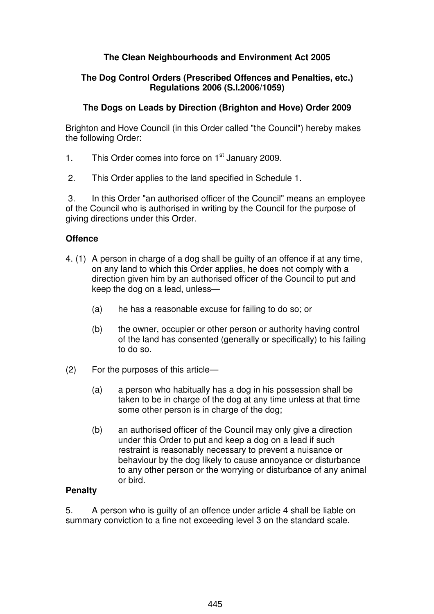## **The Clean Neighbourhoods and Environment Act 2005**

#### **The Dog Control Orders (Prescribed Offences and Penalties, etc.) Regulations 2006 (S.I.2006/1059)**

### **The Dogs on Leads by Direction (Brighton and Hove) Order 2009**

Brighton and Hove Council (in this Order called "the Council") hereby makes the following Order:

- 1. This Order comes into force on  $1<sup>st</sup>$  January 2009.
- 2. This Order applies to the land specified in Schedule 1.

 3. In this Order "an authorised officer of the Council" means an employee of the Council who is authorised in writing by the Council for the purpose of giving directions under this Order.

# **Offence**

- 4. (1) A person in charge of a dog shall be guilty of an offence if at any time, on any land to which this Order applies, he does not comply with a direction given him by an authorised officer of the Council to put and keep the dog on a lead, unless—
	- (a) he has a reasonable excuse for failing to do so; or
	- (b) the owner, occupier or other person or authority having control of the land has consented (generally or specifically) to his failing to do so.
- (2) For the purposes of this article—
	- (a) a person who habitually has a dog in his possession shall be taken to be in charge of the dog at any time unless at that time some other person is in charge of the dog;
	- (b) an authorised officer of the Council may only give a direction under this Order to put and keep a dog on a lead if such restraint is reasonably necessary to prevent a nuisance or behaviour by the dog likely to cause annoyance or disturbance to any other person or the worrying or disturbance of any animal or bird.

## **Penalty**

5. A person who is guilty of an offence under article 4 shall be liable on summary conviction to a fine not exceeding level 3 on the standard scale.